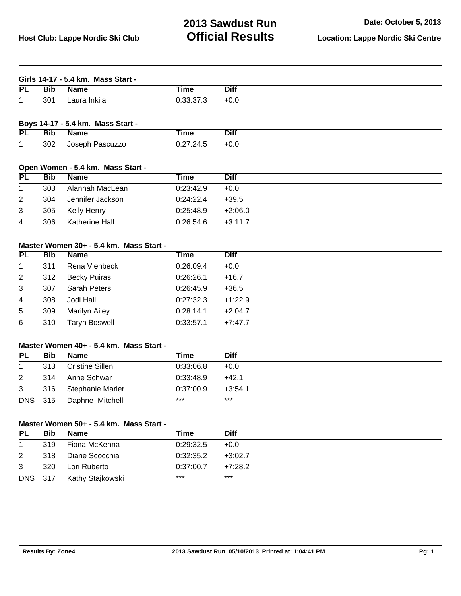|                                  | 2013 Sawdust Run        | Date: October 5, 2013                    |  |  |
|----------------------------------|-------------------------|------------------------------------------|--|--|
| Host Club: Lappe Nordic Ski Club | <b>Official Results</b> | <b>Location: Lappe Nordic Ski Centre</b> |  |  |
|                                  |                         |                                          |  |  |
|                                  |                         |                                          |  |  |

## **Girls 14-17 - 5.4 km. Mass Start -**

| $ {\mathsf P} $ | יוי             |   | ⊺ime | <b>Diff</b> |
|-----------------|-----------------|---|------|-------------|
|                 |                 |   |      |             |
|                 | 30 <sup>°</sup> | . | ٠.   | $\ddotsc$   |

### **Boys 14-17 - 5.4 km. Mass Start -**

| PL | Вıt<br>__ | ----<br>ne | Time            | Diff |
|----|-----------|------------|-----------------|------|
|    | 302       | azzo<br>   | .<br>,,<br>$-1$ | +0.0 |

## **Open Women - 5.4 km. Mass Start -**

| <b>PL</b>      | <b>Bib</b> | Name             | Time                  | <b>Diff</b> |
|----------------|------------|------------------|-----------------------|-------------|
| $\overline{1}$ | 303        | Alannah MacLean  | 0:23:42.9             | $+0.0$      |
| 2              | 304        | Jennifer Jackson | 0:24:22.4             | +39.5       |
| 3              | 305        | Kelly Henry      | 0:25:48.9             | +2:06.0     |
| $\overline{4}$ | 306        | Katherine Hall   | $0.26.54.6$ $+3.11.7$ |             |

# **Master Women 30+ - 5.4 km. Mass Start -**

| <b>PL</b>      | <b>Bib</b> | <b>Name</b>          | Time      | <b>Diff</b> |
|----------------|------------|----------------------|-----------|-------------|
| $\mathbf{1}$   | 311        | Rena Viehbeck        | 0:26:09.4 | $+0.0$      |
| $\overline{2}$ | 312        | <b>Becky Puiras</b>  | 0:26:26.1 | $+16.7$     |
| 3              | 307        | Sarah Peters         | 0:26:45.9 | $+36.5$     |
| 4              | 308        | Jodi Hall            | 0:27:32.3 | $+1:22.9$   |
| 5              | 309        | <b>Marilyn Ailey</b> | 0:28:14.1 | $+2:04.7$   |
| 6              | 310        | <b>Taryn Boswell</b> | 0:33:57.1 | $+7:47.7$   |

# **Master Women 40+ - 5.4 km. Mass Start -**

| <b>PL</b>    | <b>Bib</b> | Name             | Time      | <b>Diff</b> |
|--------------|------------|------------------|-----------|-------------|
| $\mathbf{1}$ | 313        | Cristine Sillen  | 0:33:06.8 | $+0.0$      |
| 2            | 314        | Anne Schwar      | 0:33:48.9 | $+42.1$     |
|              | 3 316      | Stephanie Marler | 0:37:00.9 | $+3:54.1$   |
| DNS 315      |            | Daphne Mitchell  | $***$     | $***$       |

## **Master Women 50+ - 5.4 km. Mass Start -**

| PL             | Bib  | <b>Name</b>      | Time      | <b>Diff</b> |
|----------------|------|------------------|-----------|-------------|
|                | 319  | Fiona McKenna    | 0:29:32.5 | $+0.0$      |
| 2              | 318  | Diane Scocchia   | 0:32:35.2 | $+3:02.7$   |
| 3              | -320 | Lori Ruberto     | 0:37:00.7 | $+7:28.2$   |
| <b>DNS</b> 317 |      | Kathy Stajkowski | $***$     | ***         |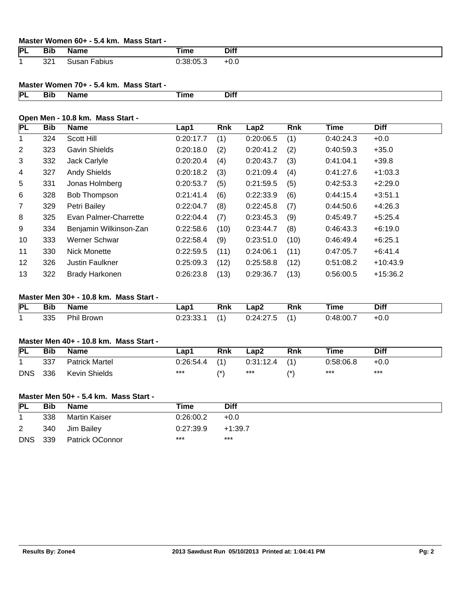### **Master Women 60+ - 5.4 km. Mass Start -**

| <b>PL</b> | --<br>Bib      | Name         | īme       | <b>Diff</b> |
|-----------|----------------|--------------|-----------|-------------|
|           | $\Omega$<br>ےت | abius<br>ədi | 0:38:05.3 | +v.u        |

## **Master Women 70+ - 5.4 km. Mass Start -**

| Ð |  | . . | - --- |
|---|--|-----|-------|
|   |  |     |       |

#### **Open Men - 10.8 km. Mass Start -**

| <b>PL</b>      | <b>Bib</b> | <b>Name</b>            | Lap1      | <b>Rnk</b> | Lap2      | <b>Rnk</b> | Time      | <b>Diff</b> |
|----------------|------------|------------------------|-----------|------------|-----------|------------|-----------|-------------|
| 1              | 324        | Scott Hill             | 0:20:17.7 | (1)        | 0:20:06.5 | (1)        | 0:40:24.3 | $+0.0$      |
| 2              | 323        | <b>Gavin Shields</b>   | 0:20:18.0 | (2)        | 0:20:41.2 | (2)        | 0:40:59.3 | $+35.0$     |
| 3              | 332        | Jack Carlyle           | 0:20:20.4 | (4)        | 0:20:43.7 | (3)        | 0:41:04.1 | $+39.8$     |
| 4              | 327        | <b>Andy Shields</b>    | 0:20:18.2 | (3)        | 0:21:09.4 | (4)        | 0:41:27.6 | $+1:03.3$   |
| 5              | 331        | Jonas Holmberg         | 0:20:53.7 | (5)        | 0:21:59.5 | (5)        | 0:42:53.3 | $+2:29.0$   |
| 6              | 328        | Bob Thompson           | 0:21:41.4 | (6)        | 0:22:33.9 | (6)        | 0:44:15.4 | $+3:51.1$   |
| $\overline{7}$ | 329        | Petri Bailey           | 0:22:04.7 | (8)        | 0:22:45.8 | (7)        | 0:44:50.6 | $+4:26.3$   |
| 8              | 325        | Evan Palmer-Charrette  | 0:22:04.4 | (7)        | 0:23:45.3 | (9)        | 0:45:49.7 | $+5:25.4$   |
| 9              | 334        | Benjamin Wilkinson-Zan | 0:22:58.6 | (10)       | 0:23:44.7 | (8)        | 0:46:43.3 | $+6:19.0$   |
| 10             | 333        | Werner Schwar          | 0:22:58.4 | (9)        | 0:23:51.0 | (10)       | 0:46:49.4 | $+6:25.1$   |
| 11             | 330        | Nick Monette           | 0:22:59.5 | (11)       | 0:24:06.1 | (11)       | 0:47:05.7 | $+6:41.4$   |
| 12             | 326        | <b>Justin Faulkner</b> | 0:25:09.3 | (12)       | 0:25:58.8 | (12)       | 0:51:08.2 | $+10:43.9$  |
| 13             | 322        | <b>Brady Harkonen</b>  | 0:26:23.8 | (13)       | 0:29:36.7 | (13)       | 0:56:00.5 | $+15:36.2$  |

## **Master Men 30+ - 10.8 km. Mass Start -**

| PL | $- - -$<br>.<br>טוס<br>__ | Name       | –ap1<br>the control of the con- | Rnk | Lap2                      | Rnk        | ⊺ime      | <b>Diff</b> |
|----|---------------------------|------------|---------------------------------|-----|---------------------------|------------|-----------|-------------|
|    | 335                       | Phil Brown | 0:23:33<br>J.JJ.                |     | 0.24.27<br>. <del>.</del> | <b>A</b> 1 | 0:48:00.7 | $+0.0$      |

## **Master Men 40+ - 10.8 km. Mass Start -**

| <b>PL</b>  | <b>Bib</b> | <b>Name</b>          | Lap1            | <b>Rnk</b>       | Lap2            | <b>Rnk</b> | Time      | <b>Diff</b> |
|------------|------------|----------------------|-----------------|------------------|-----------------|------------|-----------|-------------|
|            | 337        | Patrick Martel       | $0:26:54.4$ (1) |                  | $0:31:12.4$ (1) |            | 0:58:06.8 | $+0.0$      |
| <b>DNS</b> | 336        | <b>Kevin Shields</b> | $***$           | $^{\prime\star}$ | ***             | /*         | $***$     | $***$       |

## **Master Men 50+ - 5.4 km. Mass Start -**

| <b>PL</b>  | Bib | <b>Name</b>     | Time      | Diff      |
|------------|-----|-----------------|-----------|-----------|
|            | 338 | Martin Kaiser   | 0.26:00.2 | $+0.0$    |
| 2          | 340 | Jim Bailey      | 0.27:39.9 | $+1:39.7$ |
| <b>DNS</b> | 339 | Patrick OConnor | ***       | ***       |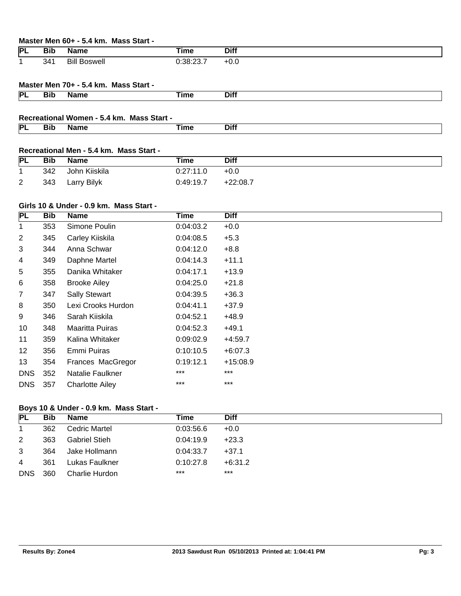### **Master Men 60+ - 5.4 km. Mass Start -**

| PL | --<br>טוס<br>$\sim$ $\sim$ | <b>s</b> ame        | ïme          | Diff   |
|----|----------------------------|---------------------|--------------|--------|
|    | 341<br>$\sim$ $\sim$       | Bill<br><br>Boswell | 0.38.22<br>. | $+0.6$ |

## **Master Men 70+ - 5.4 km. Mass Start -**

| IРI<br> | $ -$<br>DIN<br>___ |  | --- |
|---------|--------------------|--|-----|
|         |                    |  |     |

#### **Recreational Women - 5.4 km. Mass Start -**

| ΙPΙ |  | ----<br>$   -$ |
|-----|--|----------------|
|     |  |                |

# **Recreational Men - 5.4 km. Mass Start -**

| <b>PL</b>      | Bib | Name          | Time      | <b>Diff</b> |
|----------------|-----|---------------|-----------|-------------|
|                | 342 | John Kiiskila | 0.27:11.0 | $+0.0$      |
| $\overline{2}$ | 343 | Larry Bilyk   | 0:49:19.7 | $+22:08.7$  |

### **Girls 10 & Under - 0.9 km. Mass Start -**

| PL             | <b>Bib</b> | <b>Name</b>            | <b>Time</b> | <b>Diff</b> |
|----------------|------------|------------------------|-------------|-------------|
| 1              | 353        | Simone Poulin          | 0:04:03.2   | $+0.0$      |
| $\overline{2}$ | 345        | Carley Kiiskila        | 0:04:08.5   | $+5.3$      |
| 3              | 344        | Anna Schwar            | 0.04:12.0   | $+8.8$      |
| 4              | 349        | Daphne Martel          | 0:04:14.3   | $+11.1$     |
| 5              | 355        | Danika Whitaker        | 0:04:17.1   | $+13.9$     |
| 6              | 358        | <b>Brooke Ailey</b>    | 0.04:25.0   | $+21.8$     |
| 7              | 347        | <b>Sally Stewart</b>   | 0:04:39.5   | $+36.3$     |
| 8              | 350        | Lexi Crooks Hurdon     | 0.04:41.1   | $+37.9$     |
| 9              | 346        | Sarah Kiiskila         | 0:04:52.1   | +48.9       |
| 10             | 348        | Maaritta Puiras        | 0:04:52.3   | +49.1       |
| 11             | 359        | Kalina Whitaker        | 0:09:02.9   | $+4:59.7$   |
| 12             | 356        | Emmi Puiras            | 0:10:10.5   | $+6:07.3$   |
| 13             | 354        | Frances MacGregor      | 0:19:12.1   | $+15:08.9$  |
| <b>DNS</b>     | 352        | Natalie Faulkner       | $***$       | $***$       |
| <b>DNS</b>     | 357        | <b>Charlotte Ailey</b> | $***$       | $***$       |

## **Boys 10 & Under - 0.9 km. Mass Start -**

| <b>PL</b>      | <b>Bib</b> | Name                 | Time      | <b>Diff</b> |
|----------------|------------|----------------------|-----------|-------------|
| 1              | 362        | Cedric Martel        | 0:03:56.6 | $+0.0$      |
| $\overline{2}$ | 363        | <b>Gabriel Stieh</b> | 0.04:19.9 | $+23.3$     |
| 3              | 364        | Jake Hollmann        | 0:04:33.7 | $+37.1$     |
| 4              | 361        | Lukas Faulkner       | 0:10:27.8 | $+6:31.2$   |
| <b>DNS</b>     | 360        | Charlie Hurdon       | $***$     | $***$       |